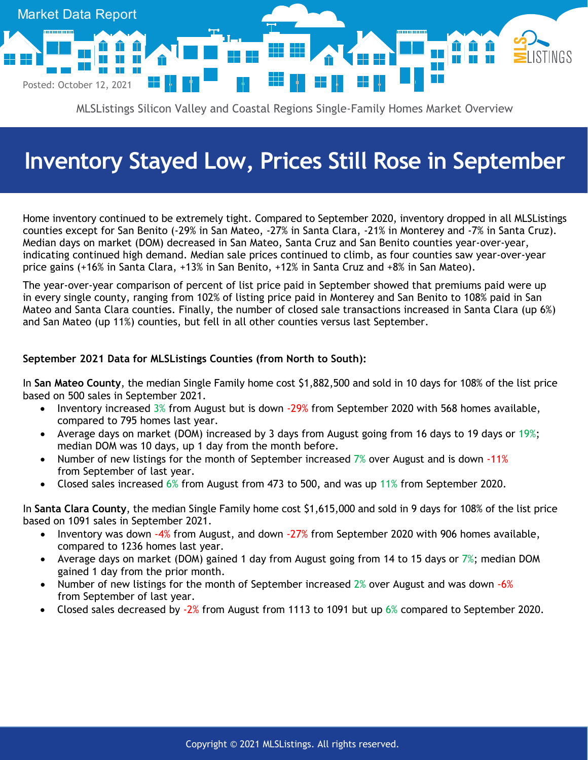

MLSListings Silicon Valley and Coastal Regions Single-Family Homes Market Overview

## **Inventory Stayed Low, Prices Still Rose in September**

Home inventory continued to be extremely tight. Compared to September 2020, inventory dropped in all MLSListings counties except for San Benito (-29% in San Mateo, -27% in Santa Clara, -21% in Monterey and -7% in Santa Cruz). Median days on market (DOM) decreased in San Mateo, Santa Cruz and San Benito counties year-over-year, indicating continued high demand. Median sale prices continued to climb, as four counties saw year-over-year price gains (+16% in Santa Clara, +13% in San Benito, +12% in Santa Cruz and +8% in San Mateo).

The year-over-year comparison of percent of list price paid in September showed that premiums paid were up in every single county, ranging from 102% of listing price paid in Monterey and San Benito to 108% paid in San Mateo and Santa Clara counties. Finally, the number of closed sale transactions increased in Santa Clara (up 6%) and San Mateo (up 11%) counties, but fell in all other counties versus last September.

## **September 2021 Data for MLSListings Counties (from North to South):**

In **San Mateo County**, the median Single Family home cost \$1,882,500 and sold in 10 days for 108% of the list price based on 500 sales in September 2021.

- Inventory increased 3% from August but is down -29% from September 2020 with 568 homes available, compared to 795 homes last year.
- Average days on market (DOM) increased by 3 days from August going from 16 days to 19 days or 19%; median DOM was 10 days, up 1 day from the month before.
- Number of new listings for the month of September increased 7% over August and is down -11% from September of last year.
- Closed sales increased 6% from August from 473 to 500, and was up 11% from September 2020.

In **Santa Clara County**, the median Single Family home cost \$1,615,000 and sold in 9 days for 108% of the list price based on 1091 sales in September 2021.

- Inventory was down -4% from August, and down -27% from September 2020 with 906 homes available, compared to 1236 homes last year.
- Average days on market (DOM) gained 1 day from August going from 14 to 15 days or 7%; median DOM gained 1 day from the prior month.
- Number of new listings for the month of September increased  $2\%$  over August and was down  $-6\%$ from September of last year.
- Closed sales decreased by -2% from August from 1113 to 1091 but up 6% compared to September 2020.